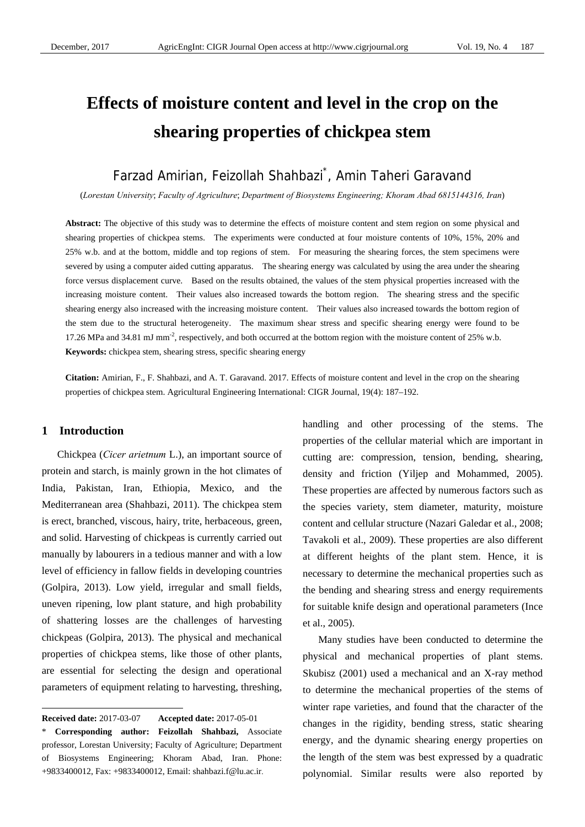# **Effects of moisture content and level in the crop on the shearing properties of chickpea stem**

# Farzad Amirian, Feizollah Shahbazi\* , Amin Taheri Garavand

(*Lorestan University*; *Faculty of Agriculture*; *Department of Biosystems Engineering; Khoram Abad 6815144316, Iran*)

**Abstract:** The objective of this study was to determine the effects of moisture content and stem region on some physical and shearing properties of chickpea stems. The experiments were conducted at four moisture contents of 10%, 15%, 20% and 25% w.b. and at the bottom, middle and top regions of stem. For measuring the shearing forces, the stem specimens were severed by using a computer aided cutting apparatus. The shearing energy was calculated by using the area under the shearing force versus displacement curve. Based on the results obtained, the values of the stem physical properties increased with the increasing moisture content. Their values also increased towards the bottom region. The shearing stress and the specific shearing energy also increased with the increasing moisture content. Their values also increased towards the bottom region of the stem due to the structural heterogeneity. The maximum shear stress and specific shearing energy were found to be 17.26 MPa and 34.81 mJ mm<sup>-2</sup>, respectively, and both occurred at the bottom region with the moisture content of 25% w.b. **Keywords:** chickpea stem, shearing stress, specific shearing energy

**Citation:** Amirian, F., F. Shahbazi, and A. T. Garavand. 2017. Effects of moisture content and level in the crop on the shearing properties of chickpea stem. Agricultural Engineering International: CIGR Journal, 19(4): 187–192.

# **1 Introduction**

 $\overline{a}$ 

Chickpea (*Cicer arietnum* L.), an important source of protein and starch, is mainly grown in the hot climates of India, Pakistan, Iran, Ethiopia, Mexico, and the Mediterranean area (Shahbazi, 2011). The chickpea stem is erect, branched, viscous, hairy, trite, herbaceous, green, and solid. Harvesting of chickpeas is currently carried out manually by labourers in a tedious manner and with a low level of efficiency in fallow fields in developing countries (Golpira, 2013). Low yield, irregular and small fields, uneven ripening, low plant stature, and high probability of shattering losses are the challenges of harvesting chickpeas (Golpira, 2013). The physical and mechanical properties of chickpea stems, like those of other plants, are essential for selecting the design and operational parameters of equipment relating to harvesting, threshing,

handling and other processing of the stems. The properties of the cellular material which are important in cutting are: compression, tension, bending, shearing, density and friction (Yiljep and Mohammed, 2005). These properties are affected by numerous factors such as the species variety, stem diameter, maturity, moisture content and cellular structure (Nazari Galedar et al., 2008; Tavakoli et al., 2009). These properties are also different at different heights of the plant stem. Hence, it is necessary to determine the mechanical properties such as the bending and shearing stress and energy requirements for suitable knife design and operational parameters (Ince et al., 2005).

Many studies have been conducted to determine the physical and mechanical properties of plant stems. Skubisz (2001) used a mechanical and an X-ray method to determine the mechanical properties of the stems of winter rape varieties, and found that the character of the changes in the rigidity, bending stress, static shearing energy, and the dynamic shearing energy properties on the length of the stem was best expressed by a quadratic polynomial. Similar results were also reported by

**Received date:** 2017-03-07 **Accepted date:** 2017-05-01

<sup>\*</sup> **Corresponding author: Feizollah Shahbazi,** Associate professor, Lorestan University; Faculty of Agriculture; Department of Biosystems Engineering; Khoram Abad, Iran. Phone: +9833400012, Fax: +9833400012, Email: shahbazi.f@lu.ac.ir.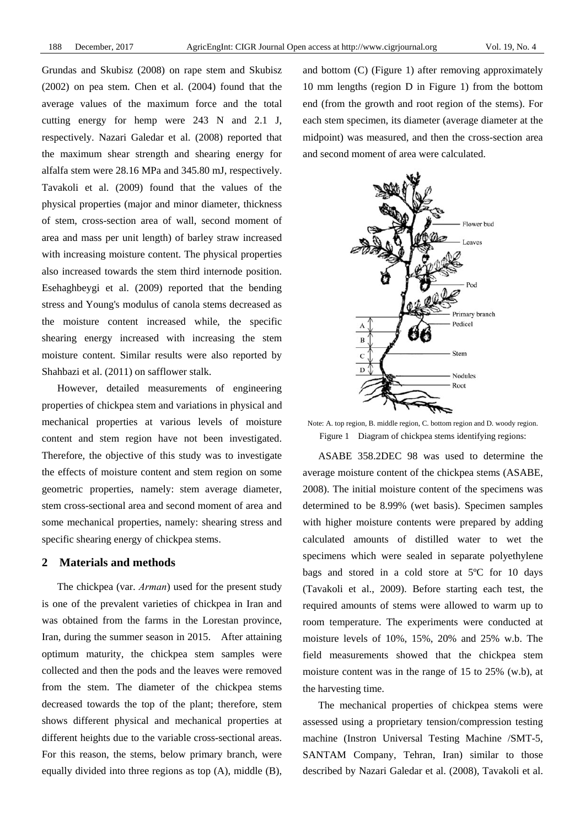Grundas and Skubisz (2008) on rape stem and Skubisz (2002) on pea stem. Chen et al. (2004) found that the average values of the maximum force and the total cutting energy for hemp were 243 N and 2.1 J, respectively. Nazari Galedar et al. (2008) reported that the maximum shear strength and shearing energy for alfalfa stem were 28.16 MPa and 345.80 mJ, respectively. Tavakoli et al. (2009) found that the values of the physical properties (major and minor diameter, thickness of stem, cross-section area of wall, second moment of area and mass per unit length) of barley straw increased with increasing moisture content. The physical properties also increased towards the stem third internode position. Esehaghbeygi et al. (2009) reported that the bending stress and Young's modulus of canola stems decreased as the moisture content increased while, the specific shearing energy increased with increasing the stem moisture content. Similar results were also reported by Shahbazi et al. (2011) on safflower stalk.

However, detailed measurements of engineering properties of chickpea stem and variations in physical and mechanical properties at various levels of moisture content and stem region have not been investigated. Therefore, the objective of this study was to investigate the effects of moisture content and stem region on some geometric properties, namely: stem average diameter, stem cross-sectional area and second moment of area and some mechanical properties, namely: shearing stress and specific shearing energy of chickpea stems.

# **2 Materials and methods**

The chickpea (var. *Arman*) used for the present study is one of the prevalent varieties of chickpea in Iran and was obtained from the farms in the Lorestan province, Iran, during the summer season in 2015. After attaining optimum maturity, the chickpea stem samples were collected and then the pods and the leaves were removed from the stem. The diameter of the chickpea stems decreased towards the top of the plant; therefore, stem shows different physical and mechanical properties at different heights due to the variable cross-sectional areas. For this reason, the stems, below primary branch, were equally divided into three regions as top (A), middle (B),

and bottom (C) (Figure 1) after removing approximately 10 mm lengths (region D in Figure 1) from the bottom end (from the growth and root region of the stems). For each stem specimen, its diameter (average diameter at the midpoint) was measured, and then the cross-section area and second moment of area were calculated.



Note: A. top region, B. middle region, C. bottom region and D. woody region. Figure 1 Diagram of chickpea stems identifying regions:

ASABE 358.2DEC 98 was used to determine the average moisture content of the chickpea stems (ASABE, 2008). The initial moisture content of the specimens was determined to be 8.99% (wet basis). Specimen samples with higher moisture contents were prepared by adding calculated amounts of distilled water to wet the specimens which were sealed in separate polyethylene bags and stored in a cold store at 5ºC for 10 days (Tavakoli et al., 2009). Before starting each test, the required amounts of stems were allowed to warm up to room temperature. The experiments were conducted at moisture levels of 10%, 15%, 20% and 25% w.b. The field measurements showed that the chickpea stem moisture content was in the range of 15 to 25% (w.b), at the harvesting time.

The mechanical properties of chickpea stems were assessed using a proprietary tension/compression testing machine (Instron Universal Testing Machine /SMT-5, SANTAM Company, Tehran, Iran) similar to those described by Nazari Galedar et al. (2008), Tavakoli et al.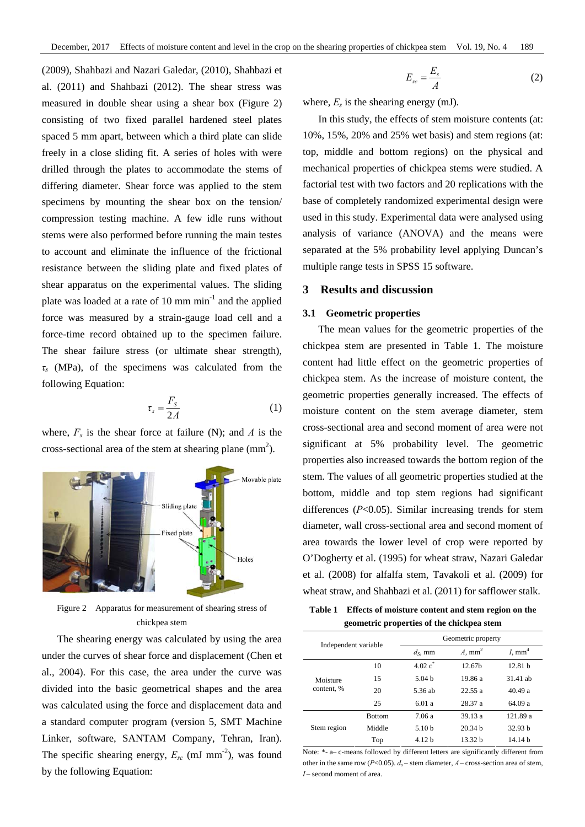(2009), Shahbazi and Nazari Galedar, (2010), Shahbazi et al. (2011) and Shahbazi (2012). The shear stress was measured in double shear using a shear box (Figure 2) consisting of two fixed parallel hardened steel plates spaced 5 mm apart, between which a third plate can slide freely in a close sliding fit. A series of holes with were drilled through the plates to accommodate the stems of differing diameter. Shear force was applied to the stem specimens by mounting the shear box on the tension/ compression testing machine. A few idle runs without stems were also performed before running the main testes to account and eliminate the influence of the frictional resistance between the sliding plate and fixed plates of shear apparatus on the experimental values. The sliding plate was loaded at a rate of 10 mm  $min^{-1}$  and the applied force was measured by a strain-gauge load cell and a force-time record obtained up to the specimen failure. The shear failure stress (or ultimate shear strength), *τs* (MPa), of the specimens was calculated from the following Equation:

$$
\tau_s = \frac{F_s}{2A} \tag{1}
$$

where,  $F_s$  is the shear force at failure (N); and *A* is the cross-sectional area of the stem at shearing plane  $\text{(mm}^2)$ .



Figure 2 Apparatus for measurement of shearing stress of chickpea stem

The shearing energy was calculated by using the area under the curves of shear force and displacement (Chen et al., 2004). For this case, the area under the curve was divided into the basic geometrical shapes and the area was calculated using the force and displacement data and a standard computer program (version 5, SMT Machine Linker, software, SANTAM Company, Tehran, Iran). The specific shearing energy,  $E_{sc}$  (mJ mm<sup>-2</sup>), was found by the following Equation:

$$
E_{sc} = \frac{E_s}{A} \tag{2}
$$

where,  $E_s$  is the shearing energy (mJ).

In this study, the effects of stem moisture contents (at: 10%, 15%, 20% and 25% wet basis) and stem regions (at: top, middle and bottom regions) on the physical and mechanical properties of chickpea stems were studied. A factorial test with two factors and 20 replications with the base of completely randomized experimental design were used in this study. Experimental data were analysed using analysis of variance (ANOVA) and the means were separated at the 5% probability level applying Duncan's multiple range tests in SPSS 15 software.

# **3 Results and discussion**

#### **3.1 Geometric properties**

The mean values for the geometric properties of the chickpea stem are presented in Table 1. The moisture content had little effect on the geometric properties of chickpea stem. As the increase of moisture content, the geometric properties generally increased. The effects of moisture content on the stem average diameter, stem cross-sectional area and second moment of area were not significant at 5% probability level. The geometric properties also increased towards the bottom region of the stem. The values of all geometric properties studied at the bottom, middle and top stem regions had significant differences (*P*<0.05). Similar increasing trends for stem diameter, wall cross-sectional area and second moment of area towards the lower level of crop were reported by O'Dogherty et al. (1995) for wheat straw, Nazari Galedar et al. (2008) for alfalfa stem, Tavakoli et al. (2009) for wheat straw, and Shahbazi et al. (2011) for safflower stalk.

**Table 1 Effects of moisture content and stem region on the geometric properties of the chickpea stem** 

| Independent variable |               | Geometric property |                    |                  |
|----------------------|---------------|--------------------|--------------------|------------------|
|                      |               | $d_s$ . mm         | $A, \text{mm}^2$   | $I, \text{mm}^4$ |
|                      | 10            | $4.02 c^*$         | 12.67 <sub>h</sub> | 12.81 h          |
| Moisture             | 15            | 5.04 <sub>b</sub>  | 19.86 a            | 31.41 ab         |
| content, %           | 20            | 5.36 ab            | 22.55a             | 40.49a           |
|                      | 25            | 6.01a              | 28.37 a            | 64.09 a          |
| Stem region          | <b>Bottom</b> | 7.06 a             | 39.13a             | 121.89 a         |
|                      | Middle        | 5.10 <sub>b</sub>  | 20.34h             | 32.93h           |
|                      | Top           | 4.12h              | 13.32 h            | 14.14h           |

Note: \*- a– c-means followed by different letters are significantly different from other in the same row ( $P<0.05$ ).  $d_s$  – stem diameter,  $A$  – cross-section area of stem, *I* – second moment of area.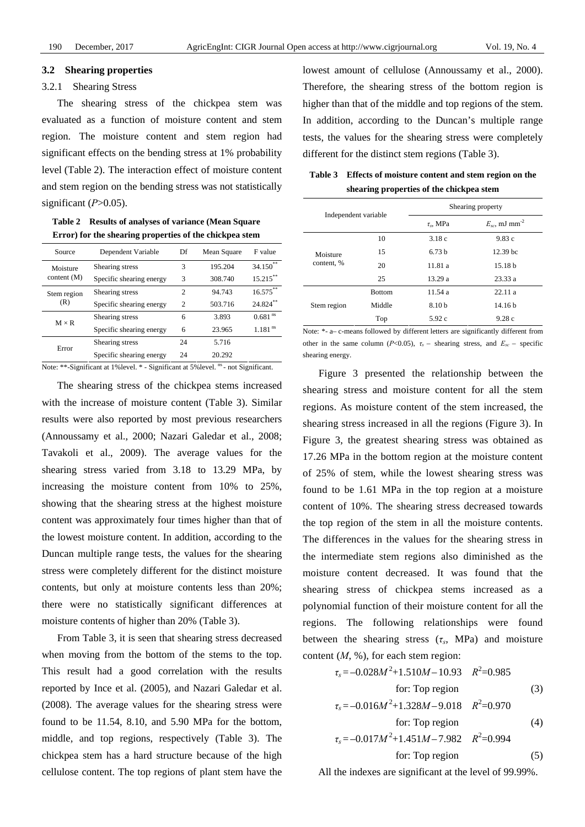#### **3.2 Shearing properties**

### 3.2.1 Shearing Stress

The shearing stress of the chickpea stem was evaluated as a function of moisture content and stem region. The moisture content and stem region had significant effects on the bending stress at 1% probability level (Table 2). The interaction effect of moisture content and stem region on the bending stress was not statistically significant (*P*>0.05).

**Table 2 Results of analyses of variance (Mean Square Error) for the shearing properties of the chickpea stem** 

| Source                    | Dependent Variable       | Df             | Mean Square | F value               |
|---------------------------|--------------------------|----------------|-------------|-----------------------|
| Moisture<br>content $(M)$ | Shearing stress          | 3              | 195.204     | $34.150**$            |
|                           | Specific shearing energy | 3              | 308.740     | $15.215***$           |
| Stem region<br>(R)        | Shearing stress          | $\overline{c}$ | 94.743      | $16.575***$           |
|                           | Specific shearing energy | $\mathfrak{D}$ | 503.716     | 24.824**              |
| $M \times R$              | Shearing stress          | 6              | 3.893       | $0.681$ <sup>ns</sup> |
|                           | Specific shearing energy | 6              | 23.965      | $1.181$ <sup>ns</sup> |
| Error                     | Shearing stress          | 24             | 5.716       |                       |
|                           | Specific shearing energy | 24             | 20.292      |                       |

Note: \*\*-Significant at 1%level. \* - Significant at 5%level. <sup>ns</sup> - not Significant.

The shearing stress of the chickpea stems increased with the increase of moisture content (Table 3). Similar results were also reported by most previous researchers (Annoussamy et al., 2000; Nazari Galedar et al., 2008; Tavakoli et al., 2009). The average values for the shearing stress varied from 3.18 to 13.29 MPa, by increasing the moisture content from 10% to 25%, showing that the shearing stress at the highest moisture content was approximately four times higher than that of the lowest moisture content. In addition, according to the Duncan multiple range tests, the values for the shearing stress were completely different for the distinct moisture contents, but only at moisture contents less than 20%; there were no statistically significant differences at moisture contents of higher than 20% (Table 3).

From Table 3, it is seen that shearing stress decreased when moving from the bottom of the stems to the top. This result had a good correlation with the results reported by Ince et al. (2005), and Nazari Galedar et al. (2008). The average values for the shearing stress were found to be 11.54, 8.10, and 5.90 MPa for the bottom, middle, and top regions, respectively (Table 3). The chickpea stem has a hard structure because of the high cellulose content. The top regions of plant stem have the

lowest amount of cellulose (Annoussamy et al., 2000). Therefore, the shearing stress of the bottom region is higher than that of the middle and top regions of the stem. In addition, according to the Duncan's multiple range tests, the values for the shearing stress were completely different for the distinct stem regions (Table 3).

**Table 3 Effects of moisture content and stem region on the shearing properties of the chickpea stem** 

| Independent variable |               | Shearing property    |                                |  |
|----------------------|---------------|----------------------|--------------------------------|--|
|                      |               | $\tau_{\rm s}$ , MPa | $E_{sc}$ , mJ mm <sup>-2</sup> |  |
|                      | 10            | 3.18c                | 9.83c                          |  |
| Moisture             | 15            | 6.73h                | 12.39 <sub>bc</sub>            |  |
| content, %           | 20            | 11.81 a              | 15.18 <sub>b</sub>             |  |
|                      | 25            | 13.29 a              | 23.33 a                        |  |
| Stem region          | <b>Bottom</b> | 11.54a               | 22.11a                         |  |
|                      | Middle        | 8.10 <sub>b</sub>    | 14.16 <sub>b</sub>             |  |
|                      | Top           | 5.92c                | 9.28c                          |  |

Note: \*- a– c-means followed by different letters are significantly different from other in the same column ( $P<0.05$ ),  $\tau_s$  – shearing stress, and  $E_{sc}$  – specific shearing energy.

Figure 3 presented the relationship between the shearing stress and moisture content for all the stem regions. As moisture content of the stem increased, the shearing stress increased in all the regions (Figure 3). In Figure 3, the greatest shearing stress was obtained as 17.26 MPa in the bottom region at the moisture content of 25% of stem, while the lowest shearing stress was found to be 1.61 MPa in the top region at a moisture content of 10%. The shearing stress decreased towards the top region of the stem in all the moisture contents. The differences in the values for the shearing stress in the intermediate stem regions also diminished as the moisture content decreased. It was found that the shearing stress of chickpea stems increased as a polynomial function of their moisture content for all the regions. The following relationships were found between the shearing stress  $(\tau_s, MPa)$  and moisture content (*M*, %), for each stem region:

$$
\tau_s = -0.028M^2 + 1.510M - 10.93 \quad R^2 = 0.985
$$
  
for: Top region (3)

$$
\tau_s = -0.016M^2 + 1.328M - 9.018 \quad R^2 = 0.970
$$
  
for: Top region (4)

$$
\tau_s = -0.017M^2 + 1.451M - 7.982 \quad R^2 = 0.994
$$
  
for: Top region (5)

All the indexes are significant at the level of 99.99%.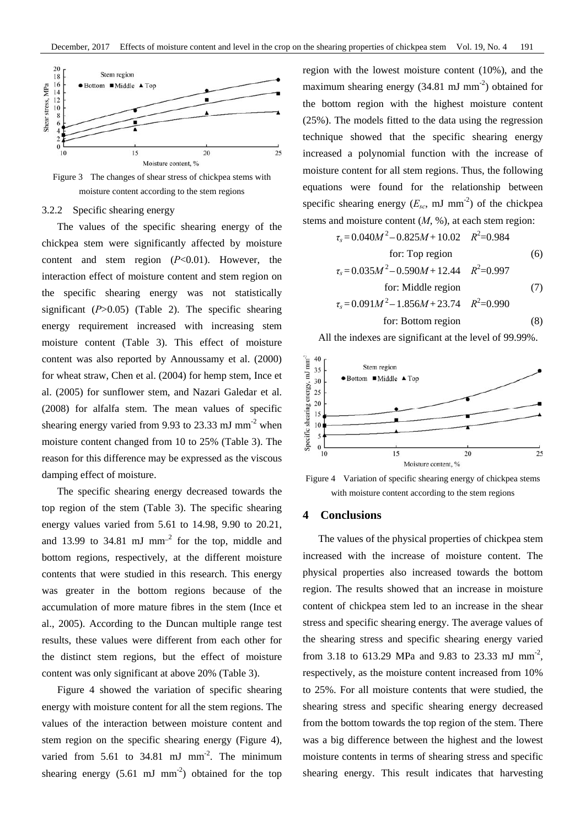

Figure 3 The changes of shear stress of chickpea stems with moisture content according to the stem regions

# 3.2.2 Specific shearing energy

The values of the specific shearing energy of the chickpea stem were significantly affected by moisture content and stem region (*P*<0.01). However, the interaction effect of moisture content and stem region on the specific shearing energy was not statistically significant (*P*>0.05) (Table 2). The specific shearing energy requirement increased with increasing stem moisture content (Table 3). This effect of moisture content was also reported by Annoussamy et al. (2000) for wheat straw, Chen et al. (2004) for hemp stem, Ince et al. (2005) for sunflower stem, and Nazari Galedar et al. (2008) for alfalfa stem. The mean values of specific shearing energy varied from 9.93 to 23.33 mJ mm<sup>-2</sup> when moisture content changed from 10 to 25% (Table 3). The reason for this difference may be expressed as the viscous damping effect of moisture.

The specific shearing energy decreased towards the top region of the stem (Table 3). The specific shearing energy values varied from 5.61 to 14.98, 9.90 to 20.21, and 13.99 to 34.81 mJ mm<sup>-2</sup> for the top, middle and bottom regions, respectively, at the different moisture contents that were studied in this research. This energy was greater in the bottom regions because of the accumulation of more mature fibres in the stem (Ince et al., 2005). According to the Duncan multiple range test results, these values were different from each other for the distinct stem regions, but the effect of moisture content was only significant at above 20% (Table 3).

Figure 4 showed the variation of specific shearing energy with moisture content for all the stem regions. The values of the interaction between moisture content and stem region on the specific shearing energy (Figure 4), varied from  $5.61$  to  $34.81$  mJ mm<sup>-2</sup>. The minimum shearing energy  $(5.61 \text{ mJ mm}^2)$  obtained for the top region with the lowest moisture content (10%), and the maximum shearing energy  $(34.81 \text{ mJ mm}^{-2})$  obtained for the bottom region with the highest moisture content (25%). The models fitted to the data using the regression technique showed that the specific shearing energy increased a polynomial function with the increase of moisture content for all stem regions. Thus, the following equations were found for the relationship between specific shearing energy  $(E_{sc}, \text{mJ mm}^2)$  of the chickpea stems and moisture content (*M*, %), at each stem region:

$$
\tau_s = 0.040M^2 - 0.825M + 10.02 \quad R^2 = 0.984
$$

for: Top region  
\n
$$
\tau_s = 0.035M^2 - 0.590M + 12.44 \quad R^2 = 0.997
$$
 (6)

for: Middle region  
\n
$$
\tau_s = 0.091M^2 - 1.856M + 23.74
$$
  $R^2 = 0.990$  (7)

$$
for: Bottom region \t(8)
$$

All the indexes are significant at the level of 99.99%.



Figure 4 Variation of specific shearing energy of chickpea stems with moisture content according to the stem regions

# **4 Conclusions**

The values of the physical properties of chickpea stem increased with the increase of moisture content. The physical properties also increased towards the bottom region. The results showed that an increase in moisture content of chickpea stem led to an increase in the shear stress and specific shearing energy. The average values of the shearing stress and specific shearing energy varied from 3.18 to 613.29 MPa and 9.83 to 23.33 mJ mm<sup>-2</sup>, respectively, as the moisture content increased from 10% to 25%. For all moisture contents that were studied, the shearing stress and specific shearing energy decreased from the bottom towards the top region of the stem. There was a big difference between the highest and the lowest moisture contents in terms of shearing stress and specific shearing energy. This result indicates that harvesting